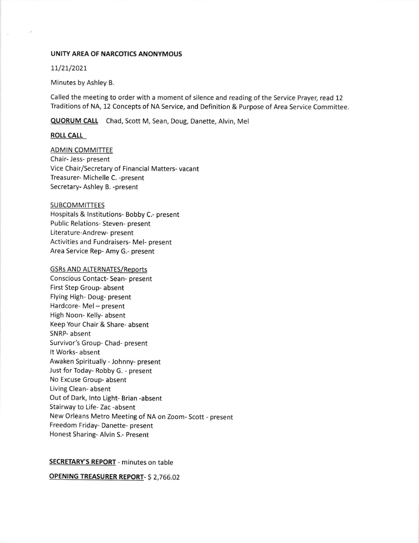### UNITY AREA OF NARCOTICS ANONYMOUS

### 11/21/2021

Minutes by Ashley B.

Called the meeting to order with a moment of silence and reading of the Service Prayer, read 12 Traditions of NA, 12 Concepts of NA Service, and Definition & Purpose of Area Service Committee.

QUORUM CALL Chad, Scott M, Sean, Doug, Danette, Alvin, Mel

### **ROLL CALL**

**ADMIN COMMITTEE** Chair- Jess- present Vice Chair/Secretary of Financial Matters- vacant Treasurer- Michelle C. -present Secretary- Ashley B. -present

#### **SUBCOMMITTEES**

Hospitals & lnstitutions- Bobby C.- present Public Relations- Steven- present Literature-Andrew- present Activities and Fundraisers- Mel- present Area Service Rep- Amy G.- present

#### **GSRs AND ALTERNATES/Reports**

Conscious Contact- Sean- present First Step Group- absent Flying High- Doug- present Hardcore- Mel - present High Noon- Kelly- absent Keep Your Chair & Share- absent SNRP- absent Survivor's Group- Chad- present It Works- absent Awaken Spiritually - Johnny- present Just for Today- Robby G. - present No Excuse Group- absent Living Clean- absent Out of Dark, lnto Light- Brian -absent Stairway to Life- Zac -absent New Orleans Metro Meeting of NA on Zoom- Scott - present Freedom Friday- Danette- present Honest Sharing- Alvin S.- Present

### SECRETARY'S REPORT - minutes on table

**OPENING TREASURER REPORT- \$ 2,766.02**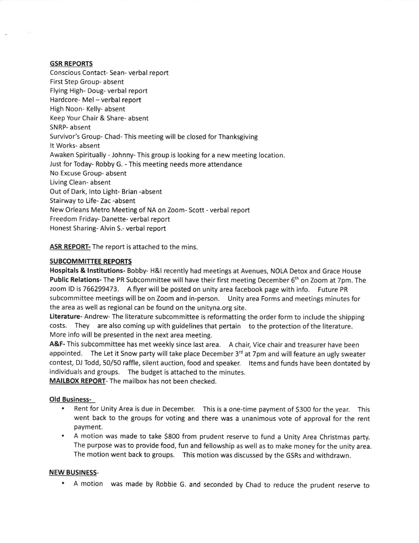### GSR REPORTS

Conscious Contact- Sean- verbal report First Step Group- absent Flying High- Doug- verbal report Hardcore- Mel - verbal report High Noon- Kelly- absent Keep Your Chair & Share- absent SNRP- absent Survivor's Group- Chad- This meeting will be closed for Thanksgiving It Works- absent Awaken Spiritually - Johnny- This group is looking for a new meeting location. Just for Today- Robby G. - This meeting needs more attendance No Excuse Group- absent Living Clean- absent Out of Dark, lnto Light- Brian -absent Stairway to Life- Zac -absent New Orleans Metro Meeting of NA on Zoom- Scott - verbal report Freedom Friday- Danette- verbal report Honest Sharing- Alvin S.- verbal report

ASR REPORT- The report is attached to the mins.

## SUBCOMMITTEE REPORTS

Hospitals & lnstitutions- Bobby- H&l recently had meetings at Avenues, NOLA Detox and Grace House Public Relations- The PR Subcommittee will have their first meeting December 6<sup>th</sup> on Zoom at 7pm. The zoom lD is 756299473. A flyer will be posted on unity area facebook page with info. Future PR subcommittee meetings will be on Zoom and in-person. Unity area Forms and meetings minutes for the area as well as regional can be found on the unityna.org site.

Literature- Andrew- The literature subcommittee is reformatting the order form to include the shipping costs. They are also coming up with guidelines that pertain to the protection of the literature. More info will be presented in the next area meeting.

A&F- This subcommittee has met weekly since last area. A chair, Vice chair and treasurer have been appointed. The Let it Snow party will take place December  $3<sup>rd</sup>$  at 7pm and will feature an ugly sweater contest, DJ Todd, 50/50 raffle, silent auction, food and speaker. ltems and funds have been dontated by individuals and groups. The budget is attached to the minutes. MAILBOX REPORT- The mailbox has not been checked.

# Old Business-

- Rent for Unity Area is due in December. This is a one-time payment of \$300 for the year. This went back to the groups for voting and there was a unanimous vote of approval for the rent payment.
- A motion was made to take \$800 from prudent reserve to fund a Unity Area Christmas party. The purpose was to provide food, fun and fellowship as well as to make money for the unity area The motion went back to groups. This motion was discussed by the GSRS and withdrawn.

### NEW BUSINESS.

. A motion was made by Robbie G. and seconded by Chad to reduce the prudent reserve to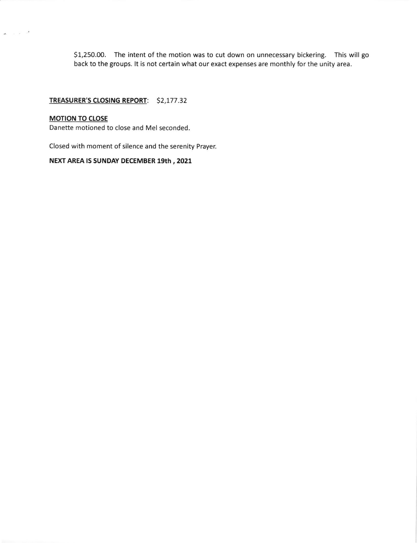51,250.00. The intent of the motion was to cut down on unnecessary bickering. This will go back to the groups. lt is not certain what our exact expenses are monthly for the unity area.

### TREASURER'S CLOSING REPORT: \$2,177.32

### **MOTION TO CLOSE**

 $\sigma_{\rm c}$  ,  $\sigma_{\rm c}$  ,  $\sigma$ 

Danette motioned to close and Mel seconded.

Closed with moment of silence and the serenity Prayer.

# NEXT AREA IS SUNDAY DECEMBER 19th, 2021